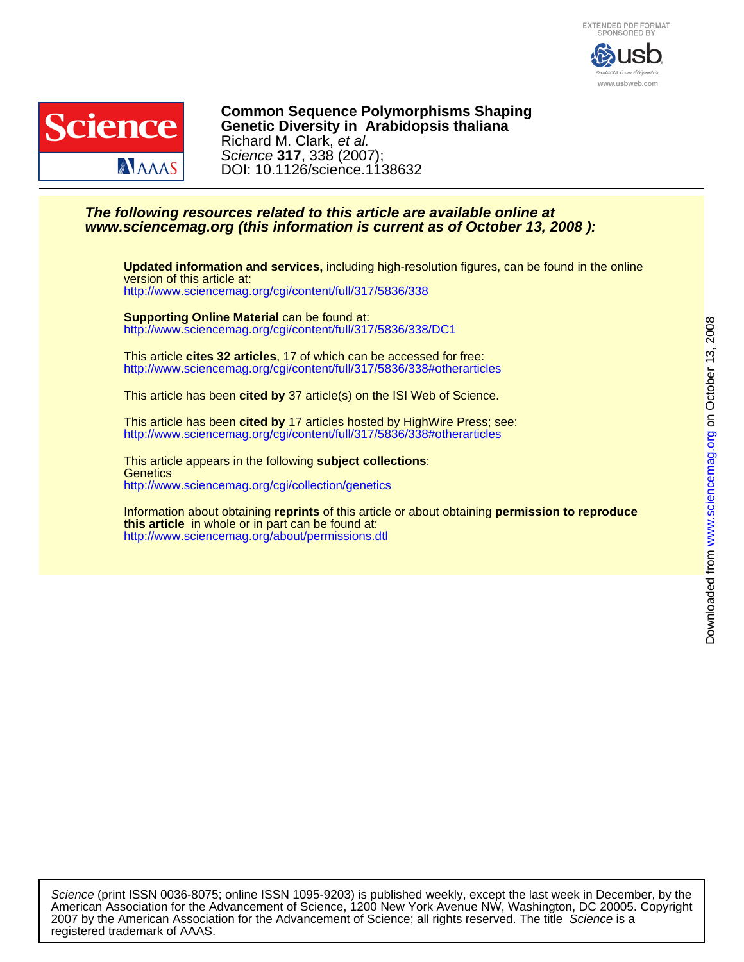



DOI: 10.1126/science.1138632 Science **317**, 338 (2007); Richard M. Clark, et al. **Genetic Diversity in Arabidopsis thaliana Common Sequence Polymorphisms Shaping**

### **www.sciencemag.org (this information is current as of October 13, 2008 ): The following resources related to this article are available online at**

<http://www.sciencemag.org/cgi/content/full/317/5836/338> version of this article at: **Updated information and services,** including high-resolution figures, can be found in the online

<http://www.sciencemag.org/cgi/content/full/317/5836/338/DC1> **Supporting Online Material** can be found at:

<http://www.sciencemag.org/cgi/content/full/317/5836/338#otherarticles> This article **cites 32 articles**, 17 of which can be accessed for free:

This article has been **cited by** 37 article(s) on the ISI Web of Science.

<http://www.sciencemag.org/cgi/content/full/317/5836/338#otherarticles> This article has been **cited by** 17 articles hosted by HighWire Press; see:

<http://www.sciencemag.org/cgi/collection/genetics> **Genetics** This article appears in the following **subject collections**:

<http://www.sciencemag.org/about/permissions.dtl> **this article** in whole or in part can be found at: Information about obtaining **reprints** of this article or about obtaining **permission to reproduce**

registered trademark of AAAS. 2007 by the American Association for the Advancement of Science; all rights reserved. The title Science is a American Association for the Advancement of Science, 1200 New York Avenue NW, Washington, DC 20005. Copyright Science (print ISSN 0036-8075; online ISSN 1095-9203) is published weekly, except the last week in December, by the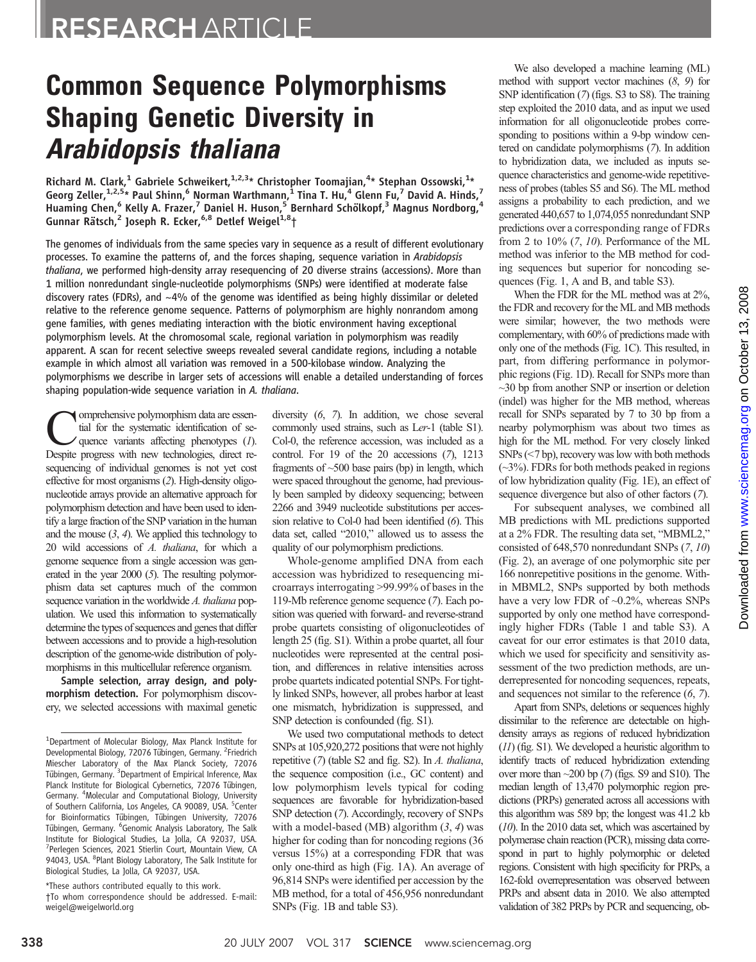# **Common Sequence Polymorphisms<br>Shaping Genetic Diversity in Shapidopsis thaliana**

Richard M. Clark, $^1$  Gabriele Schweikert, $^{1,2,3\ast}$  Christopher Toomajian, $^{4\ast}$  Stephan Ossowski, $^{1\ast}$ Georg Zeller,  $1,2,5*$  Paul Shinn,  $6$  Norman Warthmann,  $1$  Tina T. Hu,  $4$  Glenn Fu,  $7$  David A. Hinds,  $7$ Huaming Chen,<sup>6</sup> Kelly A. Frazer,<sup>7</sup> Daniel H. Huson,<sup>5</sup> Bernhard Schölkopf,<sup>3</sup> Magnus Nordborg,<sup>4</sup> Gunnar Rätsch,<sup>2</sup> Joseph R. Ecker,<sup>6,8</sup> Detlef Weigel<sup>1,8</sup>†

The genomes of individuals from the same species vary in sequence as a result of different evolutionary processes. To examine the patterns of, and the forces shaping, sequence variation in Arabidopsis thaliana, we performed high-density array resequencing of 20 diverse strains (accessions). More than 1 million nonredundant single-nucleotide polymorphisms (SNPs) were identified at moderate false discovery rates (FDRs), and ~4% of the genome was identified as being highly dissimilar or deleted relative to the reference genome sequence. Patterns of polymorphism are highly nonrandom among gene families, with genes mediating interaction with the biotic environment having exceptional polymorphism levels. At the chromosomal scale, regional variation in polymorphism was readily apparent. A scan for recent selective sweeps revealed several candidate regions, including a notable example in which almost all variation was removed in a 500-kilobase window. Analyzing the polymorphisms we describe in larger sets of accessions will enable a detailed understanding of forces shaping population-wide sequence variation in A. thaliana.

Comprehensive polymorphism data are essential for the systematic identification of sequence variants affecting phenotypes (1). Despite progress with new technologies, direct resequencing of individual genomes is not yet cost effective for most organisms (2). High-density oligonucleotide arrays provide an alternative approach for polymorphism detection and have been used to identify a large fraction of the SNP variation in the human and the mouse  $(3, 4)$ . We applied this technology to 20 wild accessions of A. thaliana, for which a genome sequence from a single accession was generated in the year 2000 (5). The resulting polymorphism data set captures much of the common sequence variation in the worldwide A. thaliana population. We used this information to systematically determine the types of sequences and genes that differ between accessions and to provide a high-resolution description of the genome-wide distribution of polymorphisms in this multicellular reference organism.

Sample selection, array design, and polymorphism detection. For polymorphism discovery, we selected accessions with maximal genetic

\*These authors contributed equally to this work. †To whom correspondence should be addressed. E-mail: weigel@weigelworld.org

diversity (6, 7). In addition, we chose several commonly used strains, such as Ler-1 (table S1). Col-0, the reference accession, was included as a control. For 19 of the 20 accessions (7), 1213 fragments of  $\sim$ 500 base pairs (bp) in length, which were spaced throughout the genome, had previously been sampled by dideoxy sequencing; between 2266 and 3949 nucleotide substitutions per accession relative to Col-0 had been identified (6). This data set, called "2010," allowed us to assess the quality of our polymorphism predictions.

Whole-genome amplified DNA from each accession was hybridized to resequencing microarrays interrogating >99.99% of bases in the 119-Mb reference genome sequence (7). Each position was queried with forward- and reverse-strand probe quartets consisting of oligonucleotides of length 25 (fig. S1). Within a probe quartet, all four nucleotides were represented at the central position, and differences in relative intensities across probe quartets indicated potential SNPs. For tightly linked SNPs, however, all probes harbor at least one mismatch, hybridization is suppressed, and SNP detection is confounded (fig. S1).

We used two computational methods to detect SNPs at 105,920,272 positions that were not highly repetitive (7) (table S2 and fig. S2). In A. thaliana, the sequence composition (i.e., GC content) and low polymorphism levels typical for coding sequences are favorable for hybridization-based SNP detection (7). Accordingly, recovery of SNPs with a model-based (MB) algorithm  $(3, 4)$  was higher for coding than for noncoding regions (36 versus 15%) at a corresponding FDR that was only one-third as high (Fig. 1A). An average of 96,814 SNPs were identified per accession by the MB method, for a total of 456,956 nonredundant SNPs (Fig. 1B and table S3).

We also developed a machine learning (ML) method with support vector machines (8, 9) for SNP identification (7) (figs. S3 to S8). The training step exploited the 2010 data, and as input we used information for all oligonucleotide probes corresponding to positions within a 9-bp window centered on candidate polymorphisms (7). In addition to hybridization data, we included as inputs sequence characteristics and genome-wide repetitiveness of probes (tables S5 and S6). The ML method assigns a probability to each prediction, and we generated 440,657 to 1,074,055 nonredundant SNP predictions over a corresponding range of FDRs from 2 to 10% (7, 10). Performance of the ML method was inferior to the MB method for coding sequences but superior for noncoding sequences (Fig. 1, A and B, and table S3).

When the FDR for the ML method was at 2%, the FDR and recovery for the ML and MB methods were similar; however, the two methods were complementary, with 60% of predictions made with only one of the methods (Fig. 1C). This resulted, in part, from differing performance in polymorphic regions (Fig. 1D). Recall for SNPs more than ~30 bp from another SNP or insertion or deletion (indel) was higher for the MB method, whereas recall for SNPs separated by 7 to 30 bp from a nearby polymorphism was about two times as high for the ML method. For very closely linked SNPs (<7 bp), recovery was low with both methods  $(\sim3\%)$ . FDRs for both methods peaked in regions of low hybridization quality (Fig. 1E), an effect of sequence divergence but also of other factors (7).

For subsequent analyses, we combined all MB predictions with ML predictions supported at a 2% FDR. The resulting data set, "MBML2," consisted of 648,570 nonredundant SNPs (7, 10) (Fig. 2), an average of one polymorphic site per 166 nonrepetitive positions in the genome. Within MBML2, SNPs supported by both methods have a very low FDR of ~0.2%, whereas SNPs supported by only one method have correspondingly higher FDRs (Table 1 and table S3). A caveat for our error estimates is that 2010 data, which we used for specificity and sensitivity assessment of the two prediction methods, are underrepresented for noncoding sequences, repeats, and sequences not similar to the reference (6, 7).

Apart from SNPs, deletions or sequences highly dissimilar to the reference are detectable on highdensity arrays as regions of reduced hybridization (11) (fig. S1). We developed a heuristic algorithm to identify tracts of reduced hybridization extending over more than ~200 bp (7) (figs. S9 and S10). The median length of 13,470 polymorphic region predictions (PRPs) generated across all accessions with this algorithm was 589 bp; the longest was 41.2 kb (10). In the 2010 data set, which was ascertained by polymerase chain reaction (PCR), missing data correspond in part to highly polymorphic or deleted regions. Consistent with high specificity for PRPs, a 162-fold overrepresentation was observed between PRPs and absent data in 2010. We also attempted validation of 382 PRPs by PCR and sequencing, ob-

<sup>&</sup>lt;sup>1</sup>Department of Molecular Biology, Max Planck Institute for Developmental Biology, 72076 Tübingen, Germany. <sup>2</sup>Friedrich Miescher Laboratory of the Max Planck Society, 72076 Tübingen, Germany. <sup>3</sup>Department of Empirical Inference, Max Planck Institute for Biological Cybernetics, 72076 Tübingen, Germany. <sup>4</sup> Molecular and Computational Biology, University of Southern California, Los Angeles, CA 90089, USA. <sup>5</sup>Center for Bioinformatics Tübingen, Tübingen University, 72076 Tübingen, Germany. <sup>6</sup>Genomic Analysis Laboratory, The Salk Institute for Biological Studies, La Jolla, CA 92037, USA. 7 Perlegen Sciences, 2021 Stierlin Court, Mountain View, CA 94043, USA. <sup>8</sup>Plant Biology Laboratory, The Salk Institute for Biological Studies, La Jolla, CA 92037, USA.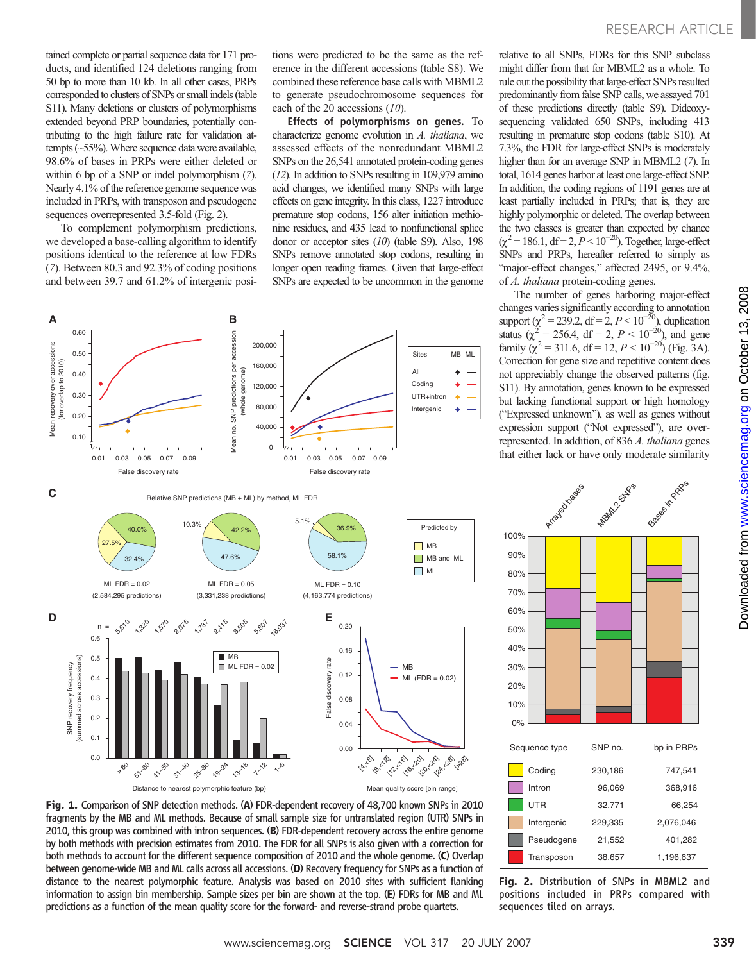tained complete or partial sequence data for 171 products, and identified 124 deletions ranging from 50 bp to more than 10 kb. In all other cases, PRPs corresponded to clusters of SNPs or small indels (table S11). Many deletions or clusters of polymorphisms extended beyond PRP boundaries, potentially contributing to the high failure rate for validation attempts  $(-55%)$ . Where sequence data were available, 98.6% of bases in PRPs were either deleted or within 6 bp of a SNP or indel polymorphism (7). Nearly 4.1% of the reference genome sequence was included in PRPs, with transposon and pseudogene sequences overrepresented 3.5-fold (Fig. 2).

To complement polymorphism predictions, we developed a base-calling algorithm to identify positions identical to the reference at low FDRs (7). Between 80.3 and 92.3% of coding positions and between 39.7 and 61.2% of intergenic positions were predicted to be the same as the reference in the different accessions (table S8). We combined these reference base calls with MBML2 to generate pseudochromosome sequences for each of the 20 accessions (10).

Effects of polymorphisms on genes. To characterize genome evolution in A. thaliana, we assessed effects of the nonredundant MBML2 SNPs on the 26,541 annotated protein-coding genes (12). In addition to SNPs resulting in 109,979 amino acid changes, we identified many SNPs with large effects on gene integrity. In this class, 1227 introduce premature stop codons, 156 alter initiation methionine residues, and 435 lead to nonfunctional splice donor or acceptor sites (10) (table S9). Also, 198 SNPs remove annotated stop codons, resulting in longer open reading frames. Given that large-effect SNPs are expected to be uncommon in the genome



Fig. 1. Comparison of SNP detection methods. (A) FDR-dependent recovery of 48,700 known SNPs in 2010 fragments by the MB and ML methods. Because of small sample size for untranslated region (UTR) SNPs in 2010, this group was combined with intron sequences. (B) FDR-dependent recovery across the entire genome by both methods with precision estimates from 2010. The FDR for all SNPs is also given with a correction for both methods to account for the different sequence composition of 2010 and the whole genome. (C) Overlap between genome-wide MB and ML calls across all accessions. (D) Recovery frequency for SNPs as a function of distance to the nearest polymorphic feature. Analysis was based on 2010 sites with sufficient flanking information to assign bin membership. Sample sizes per bin are shown at the top. (E) FDRs for MB and ML predictions as a function of the mean quality score for the forward- and reverse-strand probe quartets.

relative to all SNPs, FDRs for this SNP subclass might differ from that for MBML2 as a whole. To rule out the possibility that large-effect SNPs resulted predominantly from false SNP calls, we assayed 701 of these predictions directly (table S9). Dideoxysequencing validated 650 SNPs, including 413 resulting in premature stop codons (table S10). At 7.3%, the FDR for large-effect SNPs is moderately higher than for an average SNP in MBML2 (7). In total, 1614 genes harbor at least one large-effect SNP. In addition, the coding regions of 1191 genes are at least partially included in PRPs; that is, they are highly polymorphic or deleted. The overlap between the two classes is greater than expected by chance  $(\chi^2 = 186.1, df = 2, P < 10^{-20})$ . Together, large-effect SNPs and PRPs, hereafter referred to simply as "major-effect changes," affected 2495, or 9.4%, of A. thaliana protein-coding genes.

The number of genes harboring major-effect changes varies significantly according to annotation support ( $\chi^2$  = 239.2, df = 2,  $P$  < 10<sup>-20</sup>), duplication status ( $\chi^2 = 256.4$ , df = 2,  $P < 10^{-20}$ ), and gene family ( $\chi^2$  = 311.6, df = 12,  $P < 10^{-20}$ ) (Fig. 3A). Correction for gene size and repetitive content does not appreciably change the observed patterns (fig. S11). By annotation, genes known to be expressed but lacking functional support or high homology ("Expressed unknown"), as well as genes without expression support ("Not expressed"), are overrepresented. In addition, of 836 A. thaliana genes



Fig. 2. Distribution of SNPs in MBML2 and positions included in PRPs compared with sequences tiled on arrays.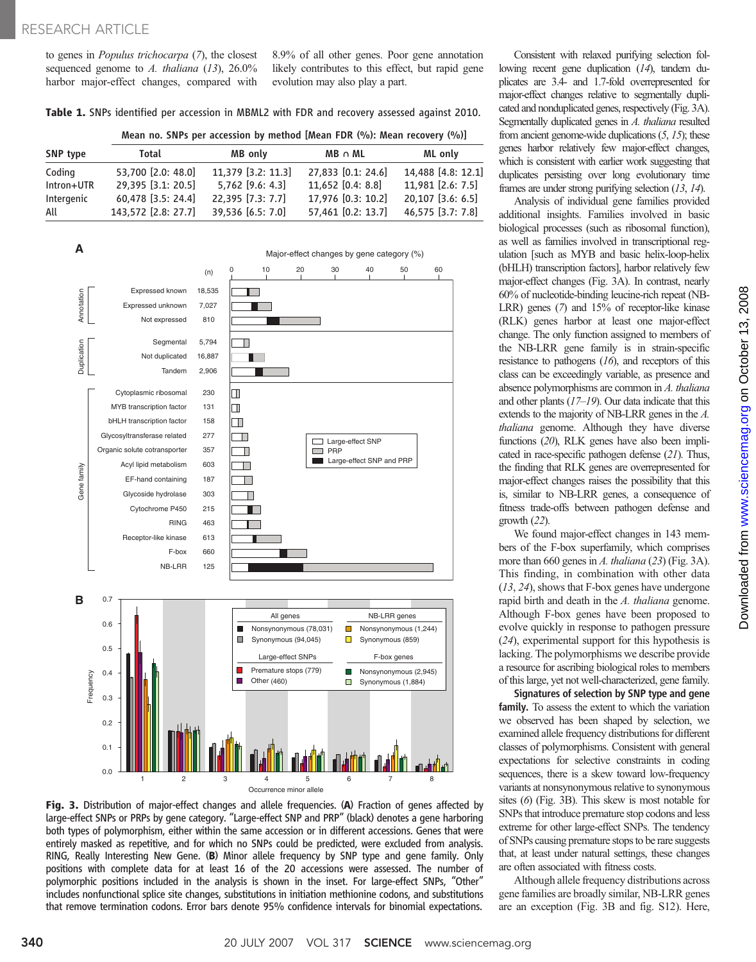to genes in Populus trichocarpa (7), the closest sequenced genome to A. thaliana  $(13)$ ,  $26.0\%$ harbor major-effect changes, compared with 8.9% of all other genes. Poor gene annotation likely contributes to this effect, but rapid gene evolution may also play a part.

Table 1. SNPs identified per accession in MBML2 with FDR and recovery assessed against 2010.

|  |  | Mean no. SNPs per accession by method [Mean FDR (%): Mean recovery (%)] |  |  |  |  |  |  |  |  |  |  |
|--|--|-------------------------------------------------------------------------|--|--|--|--|--|--|--|--|--|--|
|--|--|-------------------------------------------------------------------------|--|--|--|--|--|--|--|--|--|--|

| SNP type   | Total               | MB only            | $MB \cap ML$       | ML only            |  |
|------------|---------------------|--------------------|--------------------|--------------------|--|
| Coding     | 53,700 [2.0: 48.0]  | 11.379 [3.2: 11.3] | 27,833 [0.1: 24.6] | 14,488 [4.8: 12.1] |  |
| Intron+UTR | 29,395 [3.1: 20.5]  | $5.762$ [9.6: 4.3] | 11.652 [0.4: 8.8]  | 11,981 [2.6: 7.5]  |  |
| Intergenic | 60,478 [3.5: 24.4]  | 22.395 [7.3: 7.7]  | 17,976 [0.3: 10.2] | 20,107 [3.6: 6.5]  |  |
| All        | 143,572 [2.8: 27.7] | 39,536 [6.5: 7.0]  | 57,461 [0.2: 13.7] | 46,575 [3.7: 7.8]  |  |



Fig. 3. Distribution of major-effect changes and allele frequencies. (A) Fraction of genes affected by large-effect SNPs or PRPs by gene category. "Large-effect SNP and PRP" (black) denotes a gene harboring both types of polymorphism, either within the same accession or in different accessions. Genes that were entirely masked as repetitive, and for which no SNPs could be predicted, were excluded from analysis. RING, Really Interesting New Gene. (B) Minor allele frequency by SNP type and gene family. Only positions with complete data for at least 16 of the 20 accessions were assessed. The number of polymorphic positions included in the analysis is shown in the inset. For large-effect SNPs, "Other" includes nonfunctional splice site changes, substitutions in initiation methionine codons, and substitutions that remove termination codons. Error bars denote 95% confidence intervals for binomial expectations.

Consistent with relaxed purifying selection following recent gene duplication (14), tandem duplicates are 3.4- and 1.7-fold overrepresented for major-effect changes relative to segmentally duplicated and nonduplicated genes, respectively (Fig. 3A). Segmentally duplicated genes in A. thaliana resulted from ancient genome-wide duplications  $(5, 15)$ ; these genes harbor relatively few major-effect changes, which is consistent with earlier work suggesting that duplicates persisting over long evolutionary time frames are under strong purifying selection (13, 14).

Analysis of individual gene families provided additional insights. Families involved in basic biological processes (such as ribosomal function), as well as families involved in transcriptional regulation [such as MYB and basic helix-loop-helix (bHLH) transcription factors], harbor relatively few major-effect changes (Fig. 3A). In contrast, nearly 60% of nucleotide-binding leucine-rich repeat (NB-LRR) genes (7) and 15% of receptor-like kinase (RLK) genes harbor at least one major-effect change. The only function assigned to members of the NB-LRR gene family is in strain-specific resistance to pathogens  $(16)$ , and receptors of this class can be exceedingly variable, as presence and absence polymorphisms are common in A. thaliana and other plants  $(17–19)$ . Our data indicate that this extends to the majority of NB-LRR genes in the A. thaliana genome. Although they have diverse functions (20), RLK genes have also been implicated in race-specific pathogen defense (21). Thus, the finding that RLK genes are overrepresented for major-effect changes raises the possibility that this is, similar to NB-LRR genes, a consequence of fitness trade-offs between pathogen defense and growth  $(22)$ .

We found major-effect changes in 143 members of the F-box superfamily, which comprises more than 660 genes in A. thaliana (23) (Fig. 3A). This finding, in combination with other data (13, 24), shows that F-box genes have undergone rapid birth and death in the A. thaliana genome. Although F-box genes have been proposed to evolve quickly in response to pathogen pressure (24), experimental support for this hypothesis is lacking. The polymorphisms we describe provide a resource for ascribing biological roles to members of this large, yet not well-characterized, gene family.

Signatures of selection by SNP type and gene family. To assess the extent to which the variation we observed has been shaped by selection, we examined allele frequency distributions for different classes of polymorphisms. Consistent with general expectations for selective constraints in coding sequences, there is a skew toward low-frequency variants at nonsynonymous relative to synonymous sites (6) (Fig. 3B). This skew is most notable for SNPs that introduce premature stop codons and less extreme for other large-effect SNPs. The tendency of SNPs causing premature stops to be rare suggests that, at least under natural settings, these changes are often associated with fitness costs.

Although allele frequency distributions across gene families are broadly similar, NB-LRR genes are an exception (Fig. 3B and fig. S12). Here,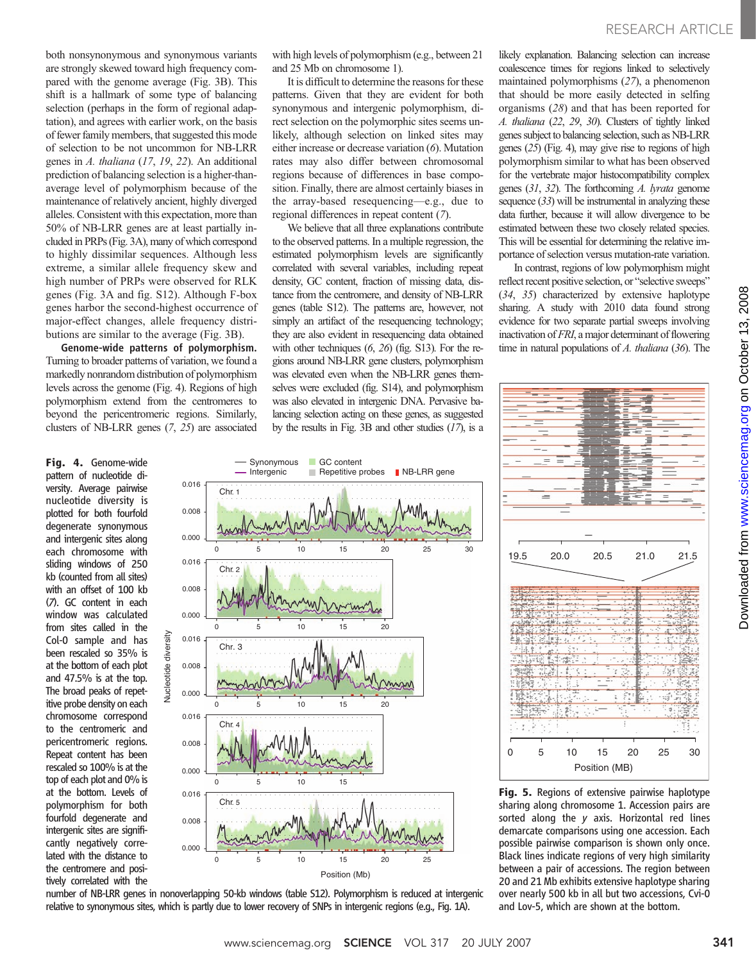both nonsynonymous and synonymous variants are strongly skewed toward high frequency compared with the genome average (Fig. 3B). This shift is a hallmark of some type of balancing selection (perhaps in the form of regional adaptation), and agrees with earlier work, on the basis of fewer family members, that suggested this mode of selection to be not uncommon for NB-LRR genes in A. thaliana (17, 19, 22). An additional prediction of balancing selection is a higher-thanaverage level of polymorphism because of the maintenance of relatively ancient, highly diverged alleles. Consistent with this expectation, more than 50% of NB-LRR genes are at least partially included in PRPs (Fig. 3A), many of which correspond to highly dissimilar sequences. Although less extreme, a similar allele frequency skew and high number of PRPs were observed for RLK genes (Fig. 3A and fig. S12). Although F-box genes harbor the second-highest occurrence of major-effect changes, allele frequency distributions are similar to the average (Fig. 3B).

Genome-wide patterns of polymorphism. Turning to broader patterns of variation, we found a markedly nonrandom distribution of polymorphism levels across the genome (Fig. 4). Regions of high polymorphism extend from the centromeres to beyond the pericentromeric regions. Similarly, clusters of NB-LRR genes (7, 25) are associated

Fig. 4. Genome-wide pattern of nucleotide diversity. Average pairwise nucleotide diversity is plotted for both fourfold degenerate synonymous and intergenic sites along each chromosome with sliding windows of 250 kb (counted from all sites) with an offset of 100 kb (7). GC content in each window was calculated from sites called in the Col-0 sample and has been rescaled so 35% is at the bottom of each plot and 47.5% is at the top. The broad peaks of repetitive probe density on each chromosome correspond to the centromeric and pericentromeric regions. Repeat content has been rescaled so 100% is at the top of each plot and 0% is at the bottom. Levels of polymorphism for both fourfold degenerate and intergenic sites are significantly negatively correlated with the distance to the centromere and positively correlated with the

with high levels of polymorphism (e.g., between 21 and 25 Mb on chromosome 1).

It is difficult to determine the reasons for these patterns. Given that they are evident for both synonymous and intergenic polymorphism, direct selection on the polymorphic sites seems unlikely, although selection on linked sites may either increase or decrease variation (6). Mutation rates may also differ between chromosomal regions because of differences in base composition. Finally, there are almost certainly biases in the array-based resequencing—e.g., due to regional differences in repeat content (7).

We believe that all three explanations contribute to the observed patterns. In a multiple regression, the estimated polymorphism levels are significantly correlated with several variables, including repeat density, GC content, fraction of missing data, distance from the centromere, and density of NB-LRR genes (table S12). The patterns are, however, not simply an artifact of the resequencing technology; they are also evident in resequencing data obtained with other techniques (6, 26) (fig. S13). For the regions around NB-LRR gene clusters, polymorphism was elevated even when the NB-LRR genes themselves were excluded (fig. S14), and polymorphism was also elevated in intergenic DNA. Pervasive balancing selection acting on these genes, as suggested by the results in Fig. 3B and other studies  $(17)$ , is a likely explanation. Balancing selection can increase coalescence times for regions linked to selectively maintained polymorphisms (27), a phenomenon that should be more easily detected in selfing organisms (28) and that has been reported for A. thaliana (22, 29, 30). Clusters of tightly linked genes subject to balancing selection, such as NB-LRR genes (25) (Fig. 4), may give rise to regions of high polymorphism similar to what has been observed for the vertebrate major histocompatibility complex genes (31, 32). The forthcoming A. lyrata genome sequence  $(33)$  will be instrumental in analyzing these data further, because it will allow divergence to be estimated between these two closely related species. This will be essential for determining the relative importance of selection versus mutation-rate variation.

In contrast, regions of low polymorphism might reflect recent positive selection, or "selective sweeps" (34, 35) characterized by extensive haplotype sharing. A study with 2010 data found strong evidence for two separate partial sweeps involving inactivation of FRI, a major determinant of flowering time in natural populations of  $A$ . thaliana (36). The



number of NB-LRR genes in nonoverlapping 50-kb windows (table S12). Polymorphism is reduced at intergenic relative to synonymous sites, which is partly due to lower recovery of SNPs in intergenic regions (e.g., Fig. 1A).



Fig. 5. Regions of extensive pairwise haplotype sharing along chromosome 1. Accession pairs are sorted along the y axis. Horizontal red lines demarcate comparisons using one accession. Each possible pairwise comparison is shown only once. Black lines indicate regions of very high similarity between a pair of accessions. The region between 20 and 21 Mb exhibits extensive haplotype sharing over nearly 500 kb in all but two accessions, Cvi-0 and Lov-5, which are shown at the bottom.